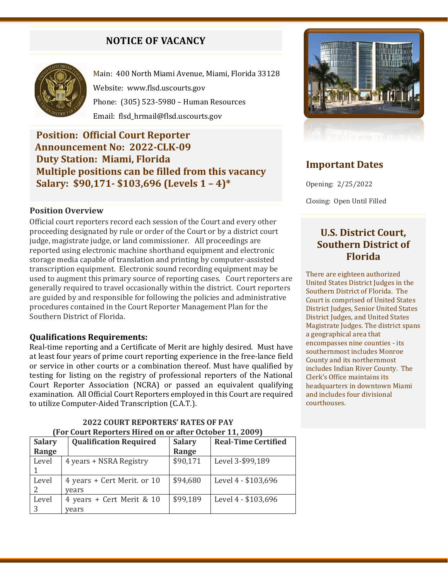# **NOTICE OF VACANCY**



Main: 400 North Miami Avenue, Miami, Florida 33128 Website: [www.flsd.uscourts.gov](http://www.flsd.uscourts.gov/) Phone: (305) 523-5980 – Human Resources Email: flsd\_hrmail@flsd.uscourts.gov

# **Position: Official Court Reporter Announcement No: 2022-CLK-09 Duty Station: Miami, Florida Multiple positions can be filled from this vacancy Salary: \$90,171- \$103,696 (Levels 1 – 4)\***

## **Position Overview**

Official court reporters record each session of the Court and every other proceeding designated by rule or order of the Court or by a district court judge, magistrate judge, or land commissioner. All proceedings are reported using electronic machine shorthand equipment and electronic storage media capable of translation and printing by computer-assisted transcription equipment. Electronic sound recording equipment may be used to augment this primary source of reporting cases. Court reporters are generally required to travel occasionally within the district. Court reporters are guided by and responsible for following the policies and administrative procedures contained in the Court Reporter Management Plan for the Southern District of Florida.

#### **Qualifications Requirements:**

Real-time reporting and a Certificate of Merit are highly desired. Must have at least four years of prime court reporting experience in the free-lance field or service in other courts or a combination thereof. Must have qualified by testing for listing on the registry of professional reporters of the National Court Reporter Association (NCRA) or passed an equivalent qualifying examination. All Official Court Reporters employed in this Court are required to utilize Computer-Aided Transcription (C.A.T.).

| <b>Salary</b> | <b>Qualification Required</b> | <b>Salary</b> | <b>Real-Time Certified</b> |
|---------------|-------------------------------|---------------|----------------------------|
| Range         |                               | Range         |                            |
| Level         | 4 years + NSRA Registry       | \$90,171      | Level 3-\$99,189           |
|               |                               |               |                            |
| Level         | 4 years + Cert Merit. or 10   | \$94,680      | Level 4 - \$103,696        |
|               | vears                         |               |                            |
| Level         | 4 years + Cert Merit & 10     | \$99,189      | Level 4 - \$103,696        |
| 3             | vears                         |               |                            |

## **2022 COURT REPORTERS' RATES OF PAY (For Court Reporters Hired on or after October 11, 2009)**



# **Important Dates**

Opening: 2/25/2022

Closing: Open Until Filled

# **U.S. District Court, Southern District of Florida**

There are eighteen authorized United States District Judges in the Southern District of Florida. The Court is comprised of United States District Judges, Senior United States District Judges, and United States Magistrate Judges. The district spans a geographical area that encompasses nine counties - its southernmost includes Monroe County and its northernmost includes Indian River County. The Clerk's Office maintains its headquarters in downtown Miami and includes four divisional courthouses.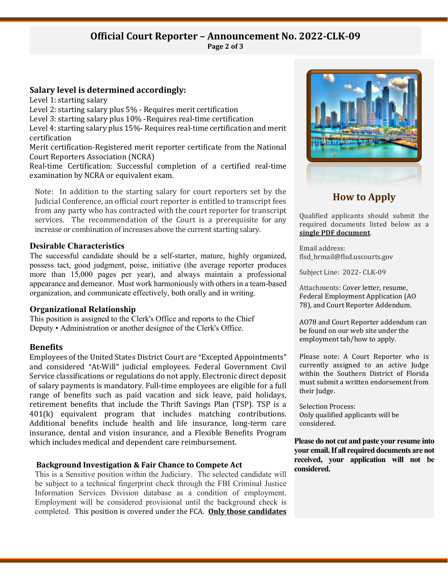#### **Official Court Reporter – Announcement No. 2022-CLK-09 Page 2 of 3**

#### **Salary level is determined accordingly:**

Level 1: starting salary

Level 2: starting salary plus 5% - Requires merit certification

Level 3: starting salary plus 10% -Requires real-time certification

Level 4: starting salary plus 15%- Requires real-time certification and merit certification

Merit certification-Registered merit reporter certificate from the National Court Reporters Association (NCRA)

Real-time Certification: Successful completion of a certified real-time examination by NCRA or equivalent exam.

Note: In addition to the starting salary for court reporters set by the Judicial Conference, an official court reporter is entitled to transcript fees from any party who has contracted with the court reporter for transcript services. The recommendation of the Court is a prerequisite for any increase or combination of increases above the current starting salary.

#### **Desirable Characteristics**

The successful candidate should be a self-starter, mature, highly organized, possess tact, good judgment, poise, initiative (the average reporter produces more than 15,000 pages per year), and always maintain a professional appearance and demeanor. Must work harmoniously with others in a team-based organization, and communicate effectively, both orally and in writing.

#### **Organizational Relationship**

This position is assigned to the Clerk's Office and reports to the Chief Deputy • Administration or another designee of the Clerk's Office.

## **Benefits**

Employees of the United States District Court are "Excepted Appointments" and considered "At-Will" judicial employees. Federal Government Civil Service classifications or regulations do not apply. Electronic direct deposit of salary payments is mandatory. Full-time employees are eligible for a full range of benefits such as paid vacation and sick leave, paid holidays, retirement benefits that include the Thrift Savings Plan (TSP). TSP is a 401(k) equivalent program that includes matching contributions. Additional benefits include health and life insurance, long-term care insurance, dental and vision insurance, and a Flexible Benefits Program which includes medical and dependent care reimbursement.

## **Background Investigation & Fair Chance to Compete Act**

This is a Sensitive position within the Judiciary. The selected candidate will be subject to a technical fingerprint check through the FBI Criminal Justice Information Services Division database as a condition of employment. Employment will be considered provisional until the background check is completed. This position is covered under the FCA. **Only those candidates** 



# **How to Apply**

Qualified applicants should submit the required documents listed below as a **single PDF document**.

Email address: flsd\_hrmail@flsd.uscourts.gov

Subject Line: 2022- CLK-09

Attachments: Cover letter, resume, Federal Employment Application (AO 78), and Court Reporter Addendum.

AO78 and Court Reporter addendum can be found on our web site under the employment tab/how to apply.

Please note: A Court Reporter who is currently assigned to an active Judge within the Southern District of Florida must submit a written endorsement from their Judge.

Selection Process: Only qualified applicants will be considered.

**Please do not cut and paste your resume into your email. If all required documents are not received, your application will not be considered.**